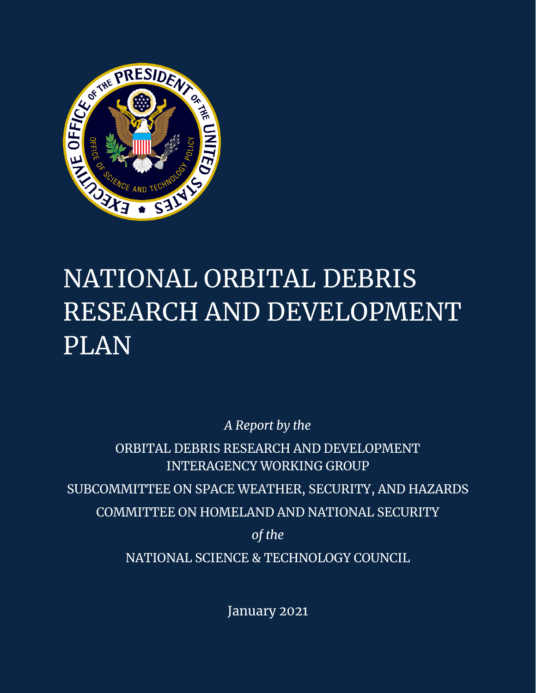

# NATIONAL ORBITAL DEBRIS RESEARCH AND DEVELOPMENT PLAN

*A Report by the*

ORBITAL DEBRIS RESEARCH AND DEVELOPMENT INTERAGENCY WORKING GROUP SUBCOMMITTEE ON SPACE WEATHER, SECURITY, AND HAZARDS COMMITTEE ON HOMELAND AND NATIONAL SECURITY *of the* NATIONAL SCIENCE & TECHNOLOGY COUNCIL

January 2021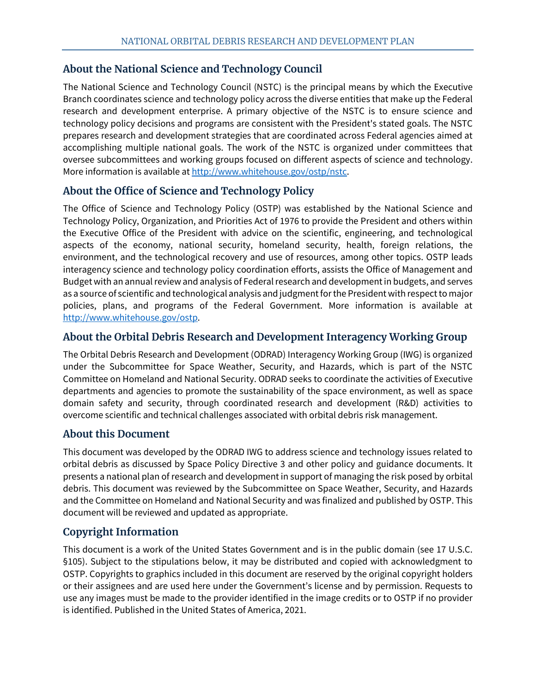# **About the National Science and Technology Council**

The National Science and Technology Council (NSTC) is the principal means by which the Executive Branch coordinates science and technology policy across the diverse entities that make up the Federal research and development enterprise. A primary objective of the NSTC is to ensure science and technology policy decisions and programs are consistent with the President's stated goals. The NSTC prepares research and development strategies that are coordinated across Federal agencies aimed at accomplishing multiple national goals. The work of the NSTC is organized under committees that oversee subcommittees and working groups focused on different aspects of science and technology. More information is available at [http://www.whitehouse.gov/ostp/nstc.](http://www.whitehouse.gov/ostp/nstc)

# **About the Office of Science and Technology Policy**

The Office of Science and Technology Policy (OSTP) was established by the National Science and Technology Policy, Organization, and Priorities Act of 1976 to provide the President and others within the Executive Office of the President with advice on the scientific, engineering, and technological aspects of the economy, national security, homeland security, health, foreign relations, the environment, and the technological recovery and use of resources, among other topics. OSTP leads interagency science and technology policy coordination efforts, assists the Office of Management and Budget with an annual review and analysis of Federal research and development in budgets, and serves as a source of scientific and technological analysis and judgment for the President with respect to major policies, plans, and programs of the Federal Government. More information is available at [http://www.whitehouse.gov/ostp.](http://www.whitehouse.gov/ostp)

# **About the Orbital Debris Research and Development Interagency Working Group**

The Orbital Debris Research and Development (ODRAD) Interagency Working Group (IWG) is organized under the Subcommittee for Space Weather, Security, and Hazards, which is part of the NSTC Committee on Homeland and National Security. ODRAD seeks to coordinate the activities of Executive departments and agencies to promote the sustainability of the space environment, as well as space domain safety and security, through coordinated research and development (R&D) activities to overcome scientific and technical challenges associated with orbital debris risk management.

# **About this Document**

This document was developed by the ODRAD IWG to address science and technology issues related to orbital debris as discussed by Space Policy Directive 3 and other policy and guidance documents. It presents a national plan of research and development in support of managing the risk posed by orbital debris. This document was reviewed by the Subcommittee on Space Weather, Security, and Hazards and the Committee on Homeland and National Security and was finalized and published by OSTP. This document will be reviewed and updated as appropriate.

# **Copyright Information**

This document is a work of the United States Government and is in the public domain (see 17 U.S.C. §105). Subject to the stipulations below, it may be distributed and copied with acknowledgment to OSTP. Copyrights to graphics included in this document are reserved by the original copyright holders or their assignees and are used here under the Government's license and by permission. Requests to use any images must be made to the provider identified in the image credits or to OSTP if no provider is identified. Published in the United States of America, 2021.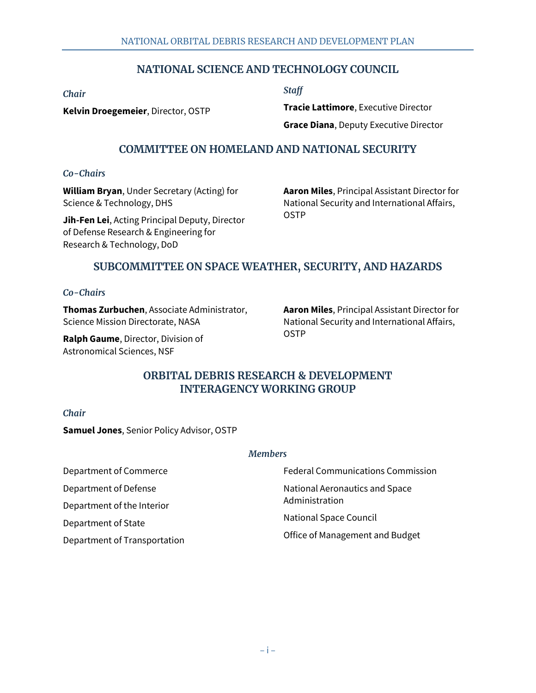# **NATIONAL SCIENCE AND TECHNOLOGY COUNCIL**

*Chair*

**Kelvin Droegemeier**, Director, OSTP

*Staff*

**Tracie Lattimore**, Executive Director **Grace Diana**, Deputy Executive Director

## **COMMITTEE ON HOMELAND AND NATIONAL SECURITY**

#### *Co-Chairs*

**William Bryan**, Under Secretary (Acting) for Science & Technology, DHS

**Jih-Fen Lei**, Acting Principal Deputy, Director of Defense Research & Engineering for Research & Technology, DoD

**Aaron Miles**, Principal Assistant Director for National Security and International Affairs, OSTP

# **SUBCOMMITTEE ON SPACE WEATHER, SECURITY, AND HAZARDS**

#### *Co-Chairs*

**Thomas Zurbuchen**, Associate Administrator, Science Mission Directorate, NASA

**Ralph Gaume**, Director, Division of Astronomical Sciences, NSF

**Aaron Miles**, Principal Assistant Director for National Security and International Affairs, OSTP

# **ORBITAL DEBRIS RESEARCH & DEVELOPMENT INTERAGENCY WORKING GROUP**

#### *Chair*

**Samuel Jones**, Senior Policy Advisor, OSTP

#### *Members*

Department of Commerce Department of Defense

Department of the Interior

Department of State

Department of Transportation

Federal Communications Commission National Aeronautics and Space Administration

National Space Council

Office of Management and Budget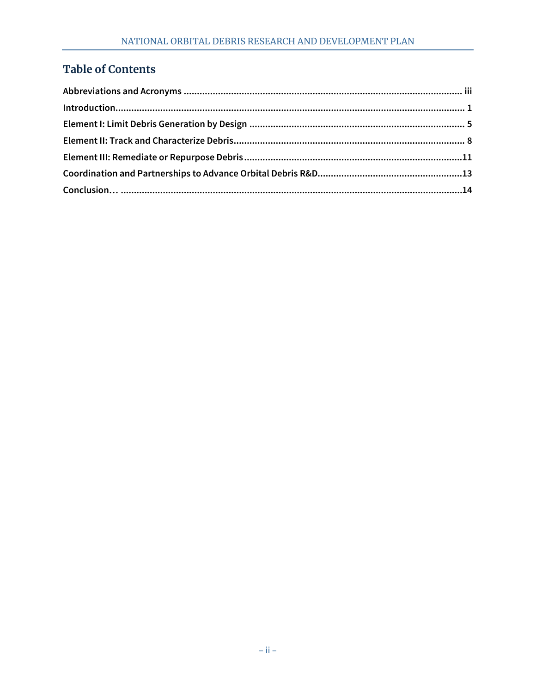# **Table of Contents**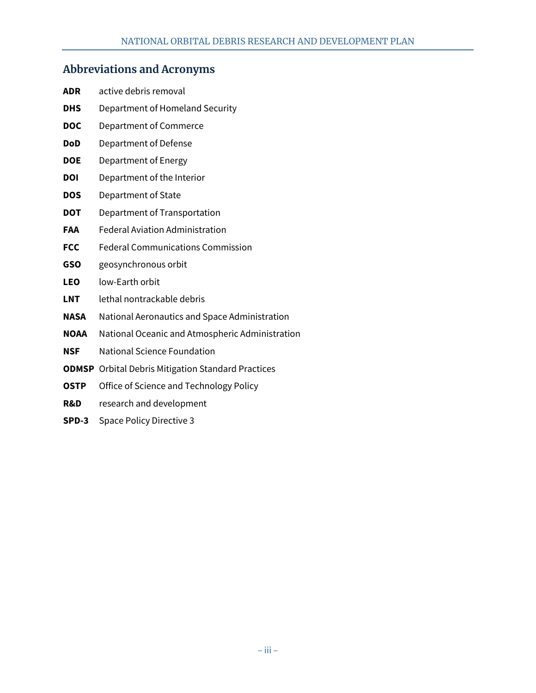# <span id="page-4-0"></span>**Abbreviations and Acronyms**

| ADR        | active debris removal                                                                                                                                                                                  |
|------------|--------------------------------------------------------------------------------------------------------------------------------------------------------------------------------------------------------|
| DHS        | Department of Homeland Security                                                                                                                                                                        |
| <b>DOC</b> | Department of Commerce                                                                                                                                                                                 |
| DoD        | Department of Defense                                                                                                                                                                                  |
| DOE        | Department of Energy                                                                                                                                                                                   |
| DOI        | Department of the Interior                                                                                                                                                                             |
| DOS        | Department of State                                                                                                                                                                                    |
| DOT        | Department of Transportation                                                                                                                                                                           |
| FAA        | <b>Federal Aviation Administration</b>                                                                                                                                                                 |
| <b>FCC</b> | <b>Federal Communications Commission</b>                                                                                                                                                               |
| GSO        | geosynchronous orbit                                                                                                                                                                                   |
| LEO        | low-Earth orbit                                                                                                                                                                                        |
| LNT        | lethal nontrackable debris                                                                                                                                                                             |
| NASA       | National Aeronautics and Space Administration                                                                                                                                                          |
| NOAA       | National Oceanic and Atmospheric Administration                                                                                                                                                        |
| NSF        | <b>National Science Foundation</b>                                                                                                                                                                     |
|            | <b>ODMSP</b> Orbital Debris Mitigation Standard Practices                                                                                                                                              |
|            | $\bigcap_{i=1}^n \mathbb{R}^n$ . $\bigcap_{i=1}^n \mathbb{R}^n$ . $\bigcap_{i=1}^n \mathbb{R}^n$ . $\bigcap_{i=1}^n \mathbb{R}^n$ . $\bigcap_{i=1}^n \mathbb{R}^n$ . If $\bigcap_{i=1}^n \mathbb{R}^n$ |

- **OSTP** Office of Science and Technology Policy
- **R&D** research and development
- **SPD-3** Space Policy Directive 3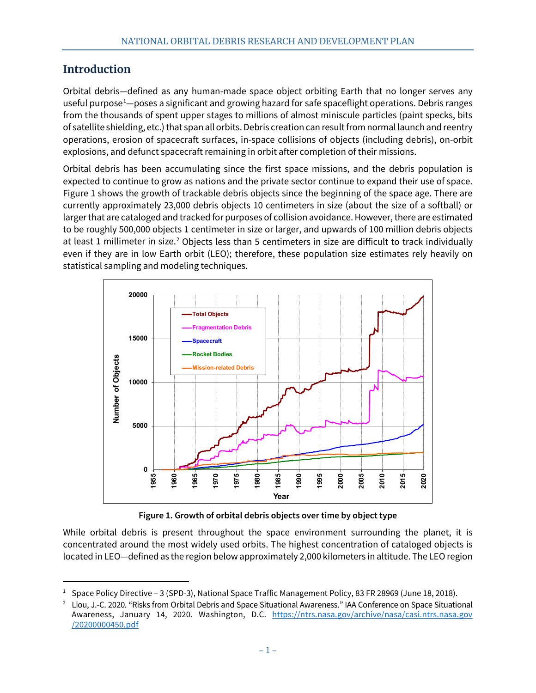# <span id="page-6-0"></span>**Introduction**

Orbital debris—defined as any human-made space object orbiting Earth that no longer serves any useful purpose<sup>[1](#page-6-1)</sup>—poses a significant and growing hazard for safe spaceflight operations. Debris ranges from the thousands of spent upper stages to millions of almost miniscule particles (paint specks, bits of satellite shielding, etc.) that span all orbits. Debris creation can result from normal launch and reentry operations, erosion of spacecraft surfaces, in-space collisions of objects (including debris), on-orbit explosions, and defunct spacecraft remaining in orbit after completion of their missions.

Orbital debris has been accumulating since the first space missions, and the debris population is expected to continue to grow as nations and the private sector continue to expand their use of space. Figure 1 shows the growth of trackable debris objects since the beginning of the space age. There are currently approximately 23,000 debris objects 10 centimeters in size (about the size of a softball) or larger that are cataloged and tracked for purposes of collision avoidance. However, there are estimated to be roughly 500,000 objects 1 centimeter in size or larger, and upwards of 100 million debris objects at least 1 millimeter in size.<sup>[2](#page-6-2)</sup> Objects less than 5 centimeters in size are difficult to track individually even if they are in low Earth orbit (LEO); therefore, these population size estimates rely heavily on statistical sampling and modeling techniques.

<span id="page-6-3"></span>

**Figure 1. Growth of orbital debris objects over time by object type**

While orbital debris is present throughout the space environment surrounding the planet, it is concentrated around the most widely used orbits. The highest concentration of cataloged objects is located in LEO—defined as the region below approximately 2,000 kilometers in altitude. The LEO region

<span id="page-6-1"></span><sup>&</sup>lt;sup>1</sup> Space Policy Directive – 3 (SPD-3), National Space Traffic Management Policy, 83 FR 28969 (June 18, 2018).

<span id="page-6-2"></span><sup>2</sup> Liou, J.-C. 2020. "Risks from Orbital Debris and Space Situational Awareness." IAA Conference on Space Situational Awareness, January 14, 2020. Washington, D.C. [https://ntrs.nasa.gov/archive/nasa/casi.ntrs.nasa.gov](https://ntrs.nasa.gov/archive/nasa/casi.ntrs.nasa.gov%0b/20200000450.pdf) [/20200000450.pdf](https://ntrs.nasa.gov/archive/nasa/casi.ntrs.nasa.gov%0b/20200000450.pdf)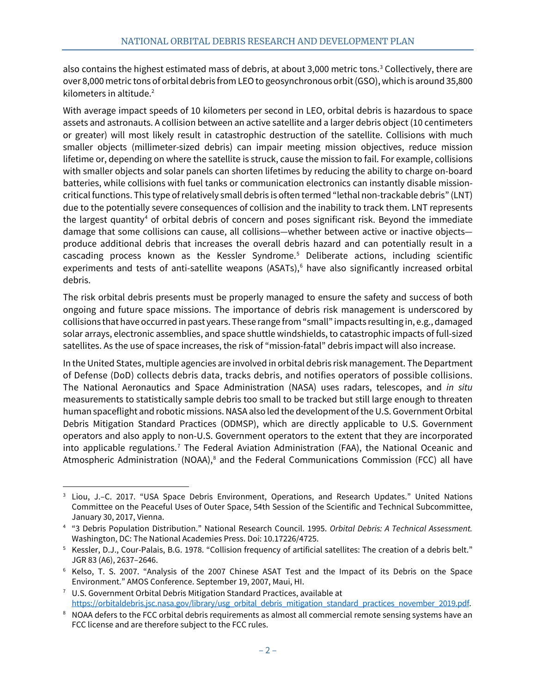also contains the highest estimated mass of debris, at about [3](#page-7-0),000 metric tons.<sup>3</sup> Collectively, there are over 8,000 metric tons of orbital debris from LEO to geosynchronous orbit (GSO), which is around 35,800 kilometers in altitude[.2](#page-6-3)

With average impact speeds of 10 kilometers per second in LEO, orbital debris is hazardous to space assets and astronauts. A collision between an active satellite and a larger debris object (10 centimeters or greater) will most likely result in catastrophic destruction of the satellite. Collisions with much smaller objects (millimeter-sized debris) can impair meeting mission objectives, reduce mission lifetime or, depending on where the satellite is struck, cause the mission to fail. For example, collisions with smaller objects and solar panels can shorten lifetimes by reducing the ability to charge on-board batteries, while collisions with fuel tanks or communication electronics can instantly disable missioncritical functions. This type of relatively small debris is often termed "lethal non-trackable debris" (LNT) due to the potentially severe consequences of collision and the inability to track them. LNT represents the largest quantity<sup>4</sup> of orbital debris of concern and poses significant risk. Beyond the immediate damage that some collisions can cause, all collisions—whether between active or inactive objects produce additional debris that increases the overall debris hazard and can potentially result in a cascading process known as the Kessler Syndrome.[5](#page-7-2) Deliberate actions, including scientific experiments and tests of anti-satellite weapons (ASATs),<sup>[6](#page-7-3)</sup> have also significantly increased orbital debris.

The risk orbital debris presents must be properly managed to ensure the safety and success of both ongoing and future space missions. The importance of debris risk management is underscored by collisions that have occurred in past years. These range from "small" impacts resulting in, e.g., damaged solar arrays, electronic assemblies, and space shuttle windshields, to catastrophic impacts of full-sized satellites. As the use of space increases, the risk of "mission-fatal" debris impact will also increase.

In the United States, multiple agencies are involved in orbital debris risk management. The Department of Defense (DoD) collects debris data, tracks debris, and notifies operators of possible collisions. The National Aeronautics and Space Administration (NASA) uses radars, telescopes, and *in situ* measurements to statistically sample debris too small to be tracked but still large enough to threaten human spaceflight and robotic missions. NASA also led the development of the U.S. Government Orbital Debris Mitigation Standard Practices (ODMSP), which are directly applicable to U.S. Government operators and also apply to non-U.S. Government operators to the extent that they are incorporated into applicable regulations.<sup>[7](#page-7-4)</sup> The Federal Aviation Administration (FAA), the National Oceanic and Atmospheric Administration (NOAA), $^8$  $^8$  and the Federal Communications Commission (FCC) all have

<span id="page-7-0"></span><sup>3</sup> Liou, J.–C. 2017. "USA Space Debris Environment, Operations, and Research Updates." United Nations Committee on the Peaceful Uses of Outer Space, 54th Session of the Scientific and Technical Subcommittee, January 30, 2017, Vienna.

<span id="page-7-1"></span><sup>4</sup> "3 Debris Population Distribution." National Research Council. 1995. *Orbital Debris: A Technical Assessment.* Washington, DC: The National Academies Press. Doi: 10.17226/4725.

<span id="page-7-2"></span><sup>5</sup> Kessler, D.J., Cour-Palais, B.G. 1978. "Collision frequency of artificial satellites: The creation of a debris belt." JGR 83 (A6), 2637–2646.

<span id="page-7-3"></span><sup>6</sup> Kelso, T. S. 2007. "Analysis of the 2007 Chinese ASAT Test and the Impact of its Debris on the Space Environment." AMOS Conference. September 19, 2007, Maui, HI.

<span id="page-7-4"></span> $7$  U.S. Government Orbital Debris Mitigation Standard Practices, available at [https://orbitaldebris.jsc.nasa.gov/library/usg\\_orbital\\_debris\\_mitigation\\_standard\\_practices\\_november\\_2019.pdf.](https://orbitaldebris.jsc.nasa.gov/library/usg_orbital_debris_mitigation_standard_practices_november_2019.pdf)

<span id="page-7-5"></span><sup>&</sup>lt;sup>8</sup> NOAA defers to the FCC orbital debris requirements as almost all commercial remote sensing systems have an FCC license and are therefore subject to the FCC rules.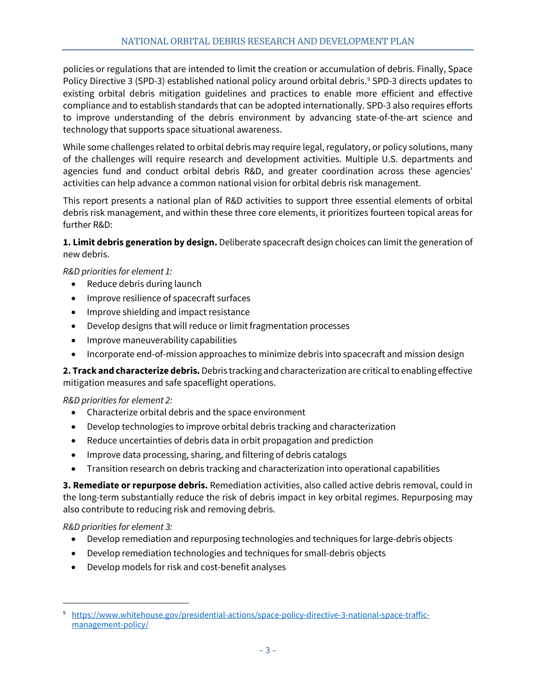policies or regulations that are intended to limit the creation or accumulation of debris. Finally, Space Policy Directive 3 (SPD-3) established national policy around orbital debris.<sup>[9](#page-8-0)</sup> SPD-3 directs updates to existing orbital debris mitigation guidelines and practices to enable more efficient and effective compliance and to establish standards that can be adopted internationally. SPD-3 also requires efforts to improve understanding of the debris environment by advancing state-of-the-art science and technology that supports space situational awareness.

While some challenges related to orbital debris may require legal, regulatory, or policy solutions, many of the challenges will require research and development activities. Multiple U.S. departments and agencies fund and conduct orbital debris R&D, and greater coordination across these agencies' activities can help advance a common national vision for orbital debris risk management.

This report presents a national plan of R&D activities to support three essential elements of orbital debris risk management, and within these three core elements, it prioritizes fourteen topical areas for further R&D:

**1. Limit debris generation by design.** Deliberate spacecraft design choices can limit the generation of new debris.

*R&D priorities for element 1:*

- Reduce debris during launch
- Improve resilience of spacecraft surfaces
- Improve shielding and impact resistance
- Develop designs that will reduce or limit fragmentation processes
- Improve maneuverability capabilities
- Incorporate end-of-mission approaches to minimize debris into spacecraft and mission design

**2. Track and characterize debris.** Debris tracking and characterization are critical to enabling effective mitigation measures and safe spaceflight operations.

### *R&D priorities for element 2:*

- Characterize orbital debris and the space environment
- Develop technologies to improve orbital debris tracking and characterization
- Reduce uncertainties of debris data in orbit propagation and prediction
- Improve data processing, sharing, and filtering of debris catalogs
- Transition research on debris tracking and characterization into operational capabilities

**3. Remediate or repurpose debris.** Remediation activities, also called active debris removal, could in the long-term substantially reduce the risk of debris impact in key orbital regimes. Repurposing may also contribute to reducing risk and removing debris.

*R&D priorities for element 3:*

- Develop remediation and repurposing technologies and techniques for large-debris objects
- Develop remediation technologies and techniques for small-debris objects
- Develop models for risk and cost-benefit analyses

<span id="page-8-0"></span><sup>9</sup> [https://www.whitehouse.gov/presidential-actions/space-policy-directive-3-national-space-traffic](https://www.whitehouse.gov/presidential-actions/space-policy-directive-3-national-space-traffic-management-policy/)[management-policy/](https://www.whitehouse.gov/presidential-actions/space-policy-directive-3-national-space-traffic-management-policy/)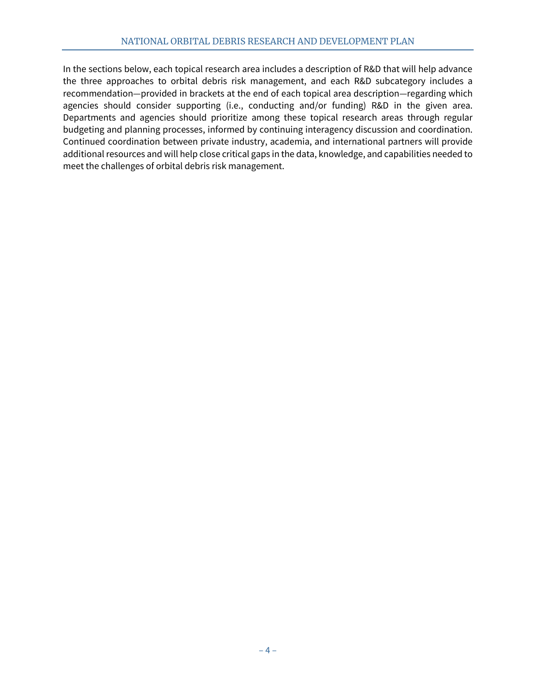In the sections below, each topical research area includes a description of R&D that will help advance the three approaches to orbital debris risk management, and each R&D subcategory includes a recommendation—provided in brackets at the end of each topical area description—regarding which agencies should consider supporting (i.e., conducting and/or funding) R&D in the given area. Departments and agencies should prioritize among these topical research areas through regular budgeting and planning processes, informed by continuing interagency discussion and coordination. Continued coordination between private industry, academia, and international partners will provide additional resources and will help close critical gaps in the data, knowledge, and capabilities needed to meet the challenges of orbital debris risk management.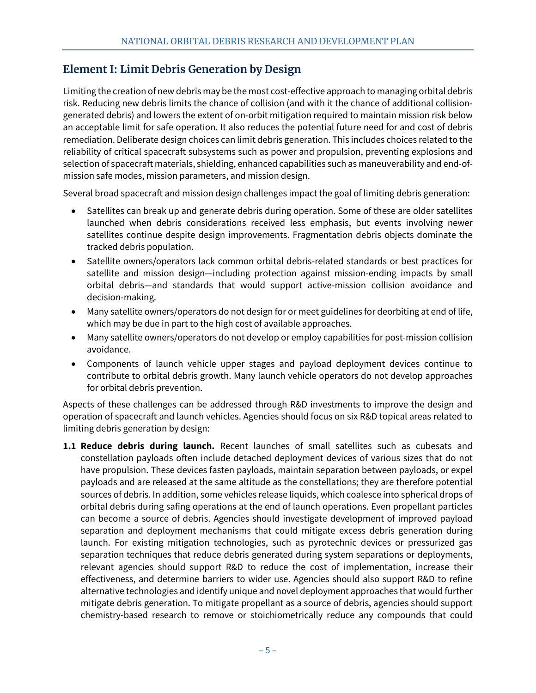# <span id="page-10-0"></span>**Element I: Limit Debris Generation by Design**

Limiting the creation of new debris may be the most cost-effective approach to managing orbital debris risk. Reducing new debris limits the chance of collision (and with it the chance of additional collisiongenerated debris) and lowers the extent of on-orbit mitigation required to maintain mission risk below an acceptable limit for safe operation. It also reduces the potential future need for and cost of debris remediation. Deliberate design choices can limit debris generation. This includes choices related to the reliability of critical spacecraft subsystems such as power and propulsion, preventing explosions and selection of spacecraft materials, shielding, enhanced capabilities such as maneuverability and end-ofmission safe modes, mission parameters, and mission design.

Several broad spacecraft and mission design challenges impact the goal of limiting debris generation:

- Satellites can break up and generate debris during operation. Some of these are older satellites launched when debris considerations received less emphasis, but events involving newer satellites continue despite design improvements. Fragmentation debris objects dominate the tracked debris population.
- Satellite owners/operators lack common orbital debris-related standards or best practices for satellite and mission design—including protection against mission-ending impacts by small orbital debris—and standards that would support active-mission collision avoidance and decision-making.
- Many satellite owners/operators do not design for or meet guidelines for deorbiting at end of life, which may be due in part to the high cost of available approaches.
- Many satellite owners/operators do not develop or employ capabilities for post-mission collision avoidance.
- Components of launch vehicle upper stages and payload deployment devices continue to contribute to orbital debris growth. Many launch vehicle operators do not develop approaches for orbital debris prevention.

Aspects of these challenges can be addressed through R&D investments to improve the design and operation of spacecraft and launch vehicles. Agencies should focus on six R&D topical areas related to limiting debris generation by design:

**1.1 Reduce debris during launch.** Recent launches of small satellites such as cubesats and constellation payloads often include detached deployment devices of various sizes that do not have propulsion. These devices fasten payloads, maintain separation between payloads, or expel payloads and are released at the same altitude as the constellations; they are therefore potential sources of debris. In addition, some vehicles release liquids, which coalesce into spherical drops of orbital debris during safing operations at the end of launch operations. Even propellant particles can become a source of debris. Agencies should investigate development of improved payload separation and deployment mechanisms that could mitigate excess debris generation during launch. For existing mitigation technologies, such as pyrotechnic devices or pressurized gas separation techniques that reduce debris generated during system separations or deployments, relevant agencies should support R&D to reduce the cost of implementation, increase their effectiveness, and determine barriers to wider use. Agencies should also support R&D to refine alternative technologies and identify unique and novel deployment approaches that would further mitigate debris generation. To mitigate propellant as a source of debris, agencies should support chemistry-based research to remove or stoichiometrically reduce any compounds that could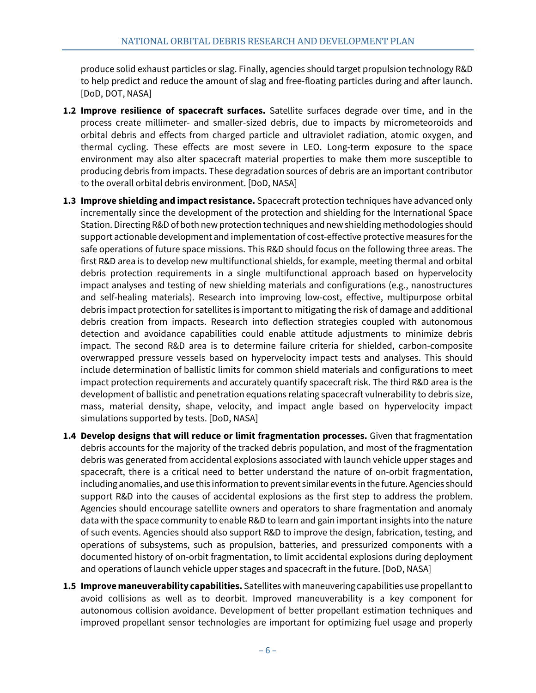produce solid exhaust particles or slag. Finally, agencies should target propulsion technology R&D to help predict and reduce the amount of slag and free-floating particles during and after launch. [DoD, DOT, NASA]

- **1.2 Improve resilience of spacecraft surfaces.** Satellite surfaces degrade over time, and in the process create millimeter- and smaller-sized debris, due to impacts by micrometeoroids and orbital debris and effects from charged particle and ultraviolet radiation, atomic oxygen, and thermal cycling. These effects are most severe in LEO. Long-term exposure to the space environment may also alter spacecraft material properties to make them more susceptible to producing debris from impacts. These degradation sources of debris are an important contributor to the overall orbital debris environment. [DoD, NASA]
- **1.3 Improve shielding and impact resistance.** Spacecraft protection techniques have advanced only incrementally since the development of the protection and shielding for the International Space Station. Directing R&D of both new protection techniques and new shielding methodologies should support actionable development and implementation of cost-effective protective measures for the safe operations of future space missions. This R&D should focus on the following three areas. The first R&D area is to develop new multifunctional shields, for example, meeting thermal and orbital debris protection requirements in a single multifunctional approach based on hypervelocity impact analyses and testing of new shielding materials and configurations (e.g., nanostructures and self-healing materials). Research into improving low-cost, effective, multipurpose orbital debris impact protection for satellites is important to mitigating the risk of damage and additional debris creation from impacts. Research into deflection strategies coupled with autonomous detection and avoidance capabilities could enable attitude adjustments to minimize debris impact. The second R&D area is to determine failure criteria for shielded, carbon-composite overwrapped pressure vessels based on hypervelocity impact tests and analyses. This should include determination of ballistic limits for common shield materials and configurations to meet impact protection requirements and accurately quantify spacecraft risk. The third R&D area is the development of ballistic and penetration equations relating spacecraft vulnerability to debris size, mass, material density, shape, velocity, and impact angle based on hypervelocity impact simulations supported by tests. [DoD, NASA]
- **1.4 Develop designs that will reduce or limit fragmentation processes.** Given that fragmentation debris accounts for the majority of the tracked debris population, and most of the fragmentation debris was generated from accidental explosions associated with launch vehicle upper stages and spacecraft, there is a critical need to better understand the nature of on-orbit fragmentation, including anomalies, and use this information to prevent similar events in the future. Agencies should support R&D into the causes of accidental explosions as the first step to address the problem. Agencies should encourage satellite owners and operators to share fragmentation and anomaly data with the space community to enable R&D to learn and gain important insights into the nature of such events. Agencies should also support R&D to improve the design, fabrication, testing, and operations of subsystems, such as propulsion, batteries, and pressurized components with a documented history of on-orbit fragmentation, to limit accidental explosions during deployment and operations of launch vehicle upper stages and spacecraft in the future. [DoD, NASA]
- **1.5 Improve maneuverability capabilities.** Satellites with maneuvering capabilities use propellant to avoid collisions as well as to deorbit. Improved maneuverability is a key component for autonomous collision avoidance. Development of better propellant estimation techniques and improved propellant sensor technologies are important for optimizing fuel usage and properly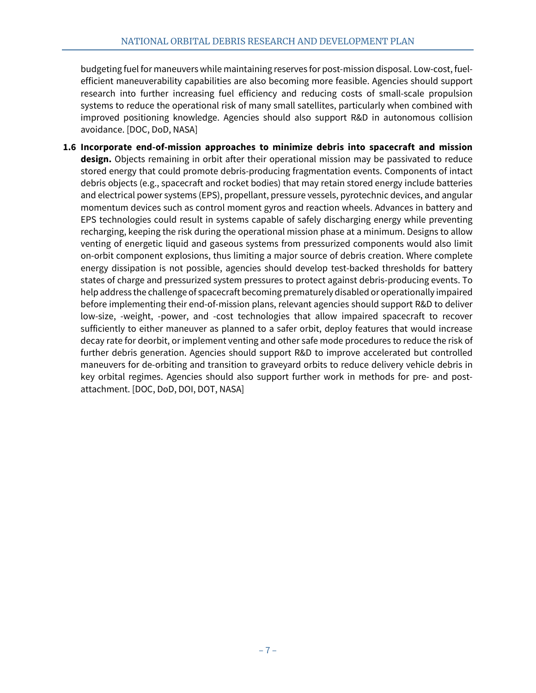budgeting fuel for maneuvers while maintaining reserves for post-mission disposal. Low-cost, fuelefficient maneuverability capabilities are also becoming more feasible. Agencies should support research into further increasing fuel efficiency and reducing costs of small-scale propulsion systems to reduce the operational risk of many small satellites, particularly when combined with improved positioning knowledge. Agencies should also support R&D in autonomous collision avoidance. [DOC, DoD, NASA]

**1.6 Incorporate end-of-mission approaches to minimize debris into spacecraft and mission design.** Objects remaining in orbit after their operational mission may be passivated to reduce stored energy that could promote debris-producing fragmentation events. Components of intact debris objects (e.g., spacecraft and rocket bodies) that may retain stored energy include batteries and electrical power systems (EPS), propellant, pressure vessels, pyrotechnic devices, and angular momentum devices such as control moment gyros and reaction wheels. Advances in battery and EPS technologies could result in systems capable of safely discharging energy while preventing recharging, keeping the risk during the operational mission phase at a minimum. Designs to allow venting of energetic liquid and gaseous systems from pressurized components would also limit on-orbit component explosions, thus limiting a major source of debris creation. Where complete energy dissipation is not possible, agencies should develop test-backed thresholds for battery states of charge and pressurized system pressures to protect against debris-producing events. To help address the challenge of spacecraft becoming prematurely disabled or operationally impaired before implementing their end-of-mission plans, relevant agencies should support R&D to deliver low-size, -weight, -power, and -cost technologies that allow impaired spacecraft to recover sufficiently to either maneuver as planned to a safer orbit, deploy features that would increase decay rate for deorbit, or implement venting and other safe mode procedures to reduce the risk of further debris generation. Agencies should support R&D to improve accelerated but controlled maneuvers for de-orbiting and transition to graveyard orbits to reduce delivery vehicle debris in key orbital regimes. Agencies should also support further work in methods for pre- and postattachment. [DOC, DoD, DOI, DOT, NASA]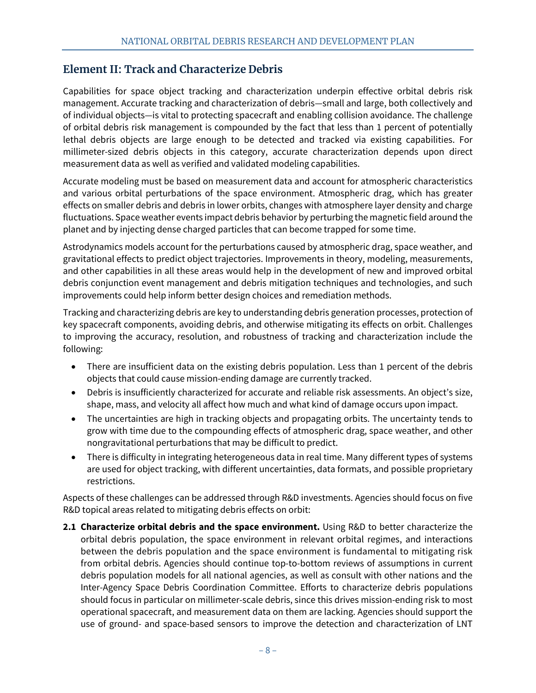# <span id="page-13-0"></span>**Element II: Track and Characterize Debris**

Capabilities for space object tracking and characterization underpin effective orbital debris risk management. Accurate tracking and characterization of debris—small and large, both collectively and of individual objects—is vital to protecting spacecraft and enabling collision avoidance. The challenge of orbital debris risk management is compounded by the fact that less than 1 percent of potentially lethal debris objects are large enough to be detected and tracked via existing capabilities. For millimeter-sized debris objects in this category, accurate characterization depends upon direct measurement data as well as verified and validated modeling capabilities.

Accurate modeling must be based on measurement data and account for atmospheric characteristics and various orbital perturbations of the space environment. Atmospheric drag, which has greater effects on smaller debris and debris in lower orbits, changes with atmosphere layer density and charge fluctuations. Space weather events impact debris behavior by perturbing the magnetic field around the planet and by injecting dense charged particles that can become trapped for some time.

Astrodynamics models account for the perturbations caused by atmospheric drag, space weather, and gravitational effects to predict object trajectories. Improvements in theory, modeling, measurements, and other capabilities in all these areas would help in the development of new and improved orbital debris conjunction event management and debris mitigation techniques and technologies, and such improvements could help inform better design choices and remediation methods.

Tracking and characterizing debris are key to understanding debris generation processes, protection of key spacecraft components, avoiding debris, and otherwise mitigating its effects on orbit. Challenges to improving the accuracy, resolution, and robustness of tracking and characterization include the following:

- There are insufficient data on the existing debris population. Less than 1 percent of the debris objects that could cause mission-ending damage are currently tracked.
- Debris is insufficiently characterized for accurate and reliable risk assessments. An object's size, shape, mass, and velocity all affect how much and what kind of damage occurs upon impact.
- The uncertainties are high in tracking objects and propagating orbits. The uncertainty tends to grow with time due to the compounding effects of atmospheric drag, space weather, and other nongravitational perturbations that may be difficult to predict.
- There is difficulty in integrating heterogeneous data in real time. Many different types of systems are used for object tracking, with different uncertainties, data formats, and possible proprietary restrictions.

Aspects of these challenges can be addressed through R&D investments. Agencies should focus on five R&D topical areas related to mitigating debris effects on orbit:

**2.1 Characterize orbital debris and the space environment.** Using R&D to better characterize the orbital debris population, the space environment in relevant orbital regimes, and interactions between the debris population and the space environment is fundamental to mitigating risk from orbital debris. Agencies should continue top-to-bottom reviews of assumptions in current debris population models for all national agencies, as well as consult with other nations and the Inter-Agency Space Debris Coordination Committee. Efforts to characterize debris populations should focus in particular on millimeter-scale debris, since this drives mission-ending risk to most operational spacecraft, and measurement data on them are lacking. Agencies should support the use of ground- and space-based sensors to improve the detection and characterization of LNT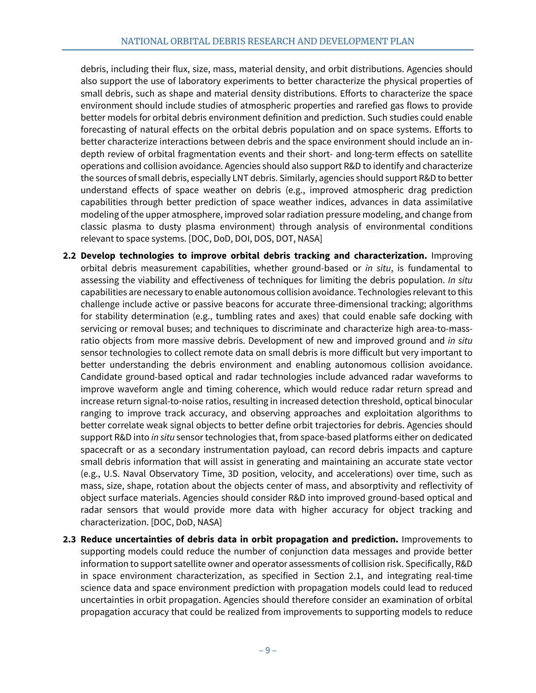debris, including their flux, size, mass, material density, and orbit distributions. Agencies should also support the use of laboratory experiments to better characterize the physical properties of small debris, such as shape and material density distributions. Efforts to characterize the space environment should include studies of atmospheric properties and rarefied gas flows to provide better models for orbital debris environment definition and prediction. Such studies could enable forecasting of natural effects on the orbital debris population and on space systems. Efforts to better characterize interactions between debris and the space environment should include an indepth review of orbital fragmentation events and their short- and long-term effects on satellite operations and collision avoidance. Agencies should also support R&D to identify and characterize the sources of small debris, especially LNT debris. Similarly, agencies should support R&D to better understand effects of space weather on debris (e.g., improved atmospheric drag prediction capabilities through better prediction of space weather indices, advances in data assimilative modeling of the upper atmosphere, improved solar radiation pressure modeling, and change from classic plasma to dusty plasma environment) through analysis of environmental conditions relevant to space systems. [DOC, DoD, DOI, DOS, DOT, NASA]

- **2.2 Develop technologies to improve orbital debris tracking and characterization.** Improving orbital debris measurement capabilities, whether ground-based or *in situ*, is fundamental to assessing the viability and effectiveness of techniques for limiting the debris population. *In situ* capabilities are necessary to enable autonomous collision avoidance. Technologies relevant to this challenge include active or passive beacons for accurate three-dimensional tracking; algorithms for stability determination (e.g., tumbling rates and axes) that could enable safe docking with servicing or removal buses; and techniques to discriminate and characterize high area-to-massratio objects from more massive debris. Development of new and improved ground and *in situ*  sensor technologies to collect remote data on small debris is more difficult but very important to better understanding the debris environment and enabling autonomous collision avoidance. Candidate ground-based optical and radar technologies include advanced radar waveforms to improve waveform angle and timing coherence, which would reduce radar return spread and increase return signal-to-noise ratios, resulting in increased detection threshold, optical binocular ranging to improve track accuracy, and observing approaches and exploitation algorithms to better correlate weak signal objects to better define orbit trajectories for debris. Agencies should support R&D into *in situ* sensor technologies that, from space-based platforms either on dedicated spacecraft or as a secondary instrumentation payload, can record debris impacts and capture small debris information that will assist in generating and maintaining an accurate state vector (e.g., U.S. Naval Observatory Time, 3D position, velocity, and accelerations) over time, such as mass, size, shape, rotation about the objects center of mass, and absorptivity and reflectivity of object surface materials. Agencies should consider R&D into improved ground-based optical and radar sensors that would provide more data with higher accuracy for object tracking and characterization. [DOC, DoD, NASA]
- **2.3 Reduce uncertainties of debris data in orbit propagation and prediction.** Improvements to supporting models could reduce the number of conjunction data messages and provide better information to support satellite owner and operator assessments of collision risk. Specifically, R&D in space environment characterization, as specified in Section 2.1, and integrating real-time science data and space environment prediction with propagation models could lead to reduced uncertainties in orbit propagation. Agencies should therefore consider an examination of orbital propagation accuracy that could be realized from improvements to supporting models to reduce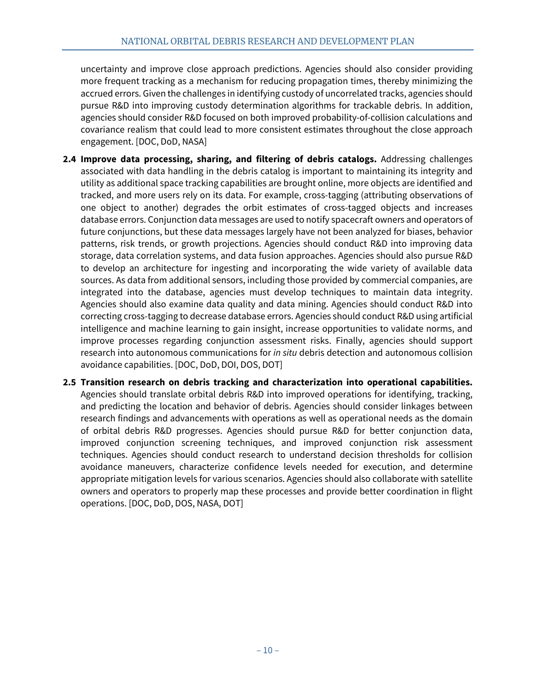uncertainty and improve close approach predictions. Agencies should also consider providing more frequent tracking as a mechanism for reducing propagation times, thereby minimizing the accrued errors. Given the challenges in identifying custody of uncorrelated tracks, agencies should pursue R&D into improving custody determination algorithms for trackable debris. In addition, agencies should consider R&D focused on both improved probability-of-collision calculations and covariance realism that could lead to more consistent estimates throughout the close approach engagement. [DOC, DoD, NASA]

- **2.4 Improve data processing, sharing, and filtering of debris catalogs.** Addressing challenges associated with data handling in the debris catalog is important to maintaining its integrity and utility as additional space tracking capabilities are brought online, more objects are identified and tracked, and more users rely on its data. For example, cross-tagging (attributing observations of one object to another) degrades the orbit estimates of cross-tagged objects and increases database errors. Conjunction data messages are used to notify spacecraft owners and operators of future conjunctions, but these data messages largely have not been analyzed for biases, behavior patterns, risk trends, or growth projections. Agencies should conduct R&D into improving data storage, data correlation systems, and data fusion approaches. Agencies should also pursue R&D to develop an architecture for ingesting and incorporating the wide variety of available data sources. As data from additional sensors, including those provided by commercial companies, are integrated into the database, agencies must develop techniques to maintain data integrity. Agencies should also examine data quality and data mining. Agencies should conduct R&D into correcting cross-tagging to decrease database errors. Agencies should conduct R&D using artificial intelligence and machine learning to gain insight, increase opportunities to validate norms, and improve processes regarding conjunction assessment risks. Finally, agencies should support research into autonomous communications for *in situ* debris detection and autonomous collision avoidance capabilities. [DOC, DoD, DOI, DOS, DOT]
- **2.5 Transition research on debris tracking and characterization into operational capabilities.** Agencies should translate orbital debris R&D into improved operations for identifying, tracking, and predicting the location and behavior of debris. Agencies should consider linkages between research findings and advancements with operations as well as operational needs as the domain of orbital debris R&D progresses. Agencies should pursue R&D for better conjunction data, improved conjunction screening techniques, and improved conjunction risk assessment techniques. Agencies should conduct research to understand decision thresholds for collision avoidance maneuvers, characterize confidence levels needed for execution, and determine appropriate mitigation levels for various scenarios. Agencies should also collaborate with satellite owners and operators to properly map these processes and provide better coordination in flight operations. [DOC, DoD, DOS, NASA, DOT]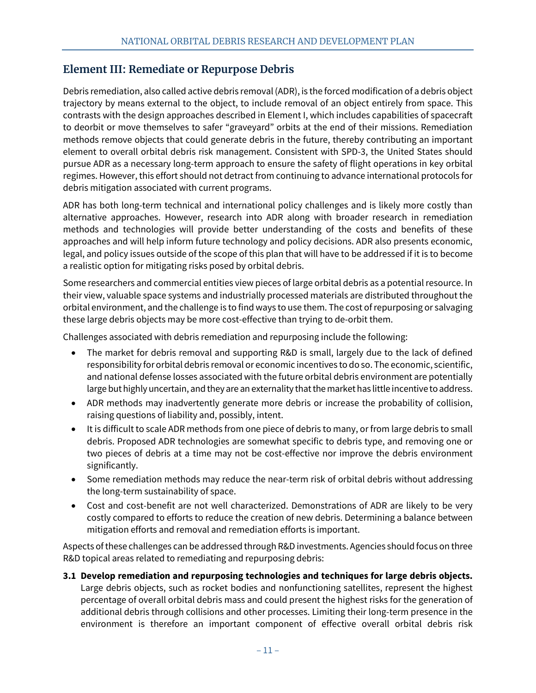# <span id="page-16-0"></span>**Element III: Remediate or Repurpose Debris**

Debris remediation, also called active debris removal (ADR), is the forced modification of a debris object trajectory by means external to the object, to include removal of an object entirely from space. This contrasts with the design approaches described in Element I, which includes capabilities of spacecraft to deorbit or move themselves to safer "graveyard" orbits at the end of their missions. Remediation methods remove objects that could generate debris in the future, thereby contributing an important element to overall orbital debris risk management. Consistent with SPD-3, the United States should pursue ADR as a necessary long-term approach to ensure the safety of flight operations in key orbital regimes. However, this effort should not detract from continuing to advance international protocols for debris mitigation associated with current programs.

ADR has both long-term technical and international policy challenges and is likely more costly than alternative approaches. However, research into ADR along with broader research in remediation methods and technologies will provide better understanding of the costs and benefits of these approaches and will help inform future technology and policy decisions. ADR also presents economic, legal, and policy issues outside of the scope of this plan that will have to be addressed if it is to become a realistic option for mitigating risks posed by orbital debris.

Some researchers and commercial entities view pieces of large orbital debris as a potential resource. In their view, valuable space systems and industrially processed materials are distributed throughout the orbital environment, and the challenge is to find ways to use them. The cost of repurposing or salvaging these large debris objects may be more cost-effective than trying to de-orbit them.

Challenges associated with debris remediation and repurposing include the following:

- The market for debris removal and supporting R&D is small, largely due to the lack of defined responsibility for orbital debris removal or economic incentives to do so. The economic, scientific, and national defense losses associated with the future orbital debris environment are potentially large but highly uncertain, and they are an externality that the market has little incentive to address.
- ADR methods may inadvertently generate more debris or increase the probability of collision, raising questions of liability and, possibly, intent.
- It is difficult to scale ADR methods from one piece of debris to many, or from large debris to small debris. Proposed ADR technologies are somewhat specific to debris type, and removing one or two pieces of debris at a time may not be cost-effective nor improve the debris environment significantly.
- Some remediation methods may reduce the near-term risk of orbital debris without addressing the long-term sustainability of space.
- Cost and cost-benefit are not well characterized. Demonstrations of ADR are likely to be very costly compared to efforts to reduce the creation of new debris. Determining a balance between mitigation efforts and removal and remediation efforts is important.

Aspects of these challenges can be addressed through R&D investments. Agencies should focus on three R&D topical areas related to remediating and repurposing debris:

**3.1 Develop remediation and repurposing technologies and techniques for large debris objects.** Large debris objects, such as rocket bodies and nonfunctioning satellites, represent the highest percentage of overall orbital debris mass and could present the highest risks for the generation of additional debris through collisions and other processes. Limiting their long-term presence in the environment is therefore an important component of effective overall orbital debris risk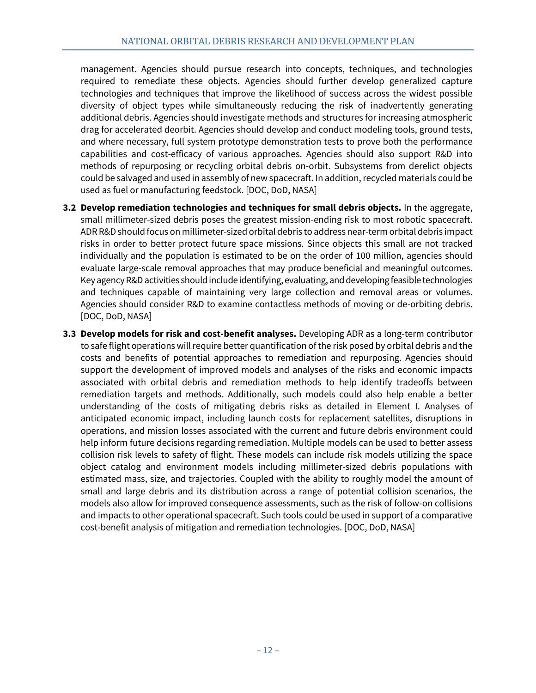management. Agencies should pursue research into concepts, techniques, and technologies required to remediate these objects. Agencies should further develop generalized capture technologies and techniques that improve the likelihood of success across the widest possible diversity of object types while simultaneously reducing the risk of inadvertently generating additional debris. Agencies should investigate methods and structures for increasing atmospheric drag for accelerated deorbit. Agencies should develop and conduct modeling tools, ground tests, and where necessary, full system prototype demonstration tests to prove both the performance capabilities and cost-efficacy of various approaches. Agencies should also support R&D into methods of repurposing or recycling orbital debris on-orbit. Subsystems from derelict objects could be salvaged and used in assembly of new spacecraft. In addition, recycled materials could be used as fuel or manufacturing feedstock. [DOC, DoD, NASA]

- **3.2 Develop remediation technologies and techniques for small debris objects.** In the aggregate, small millimeter-sized debris poses the greatest mission-ending risk to most robotic spacecraft. ADR R&D should focus on millimeter-sized orbital debris to address near-term orbital debris impact risks in order to better protect future space missions. Since objects this small are not tracked individually and the population is estimated to be on the order of 100 million, agencies should evaluate large-scale removal approaches that may produce beneficial and meaningful outcomes. Key agency R&Dactivities should include identifying, evaluating, and developing feasible technologies and techniques capable of maintaining very large collection and removal areas or volumes. Agencies should consider R&D to examine contactless methods of moving or de-orbiting debris. [DOC, DoD, NASA]
- **3.3 Develop models for risk and cost-benefit analyses.** Developing ADR as a long-term contributor to safe flight operations will require better quantification of the risk posed by orbital debris and the costs and benefits of potential approaches to remediation and repurposing. Agencies should support the development of improved models and analyses of the risks and economic impacts associated with orbital debris and remediation methods to help identify tradeoffs between remediation targets and methods. Additionally, such models could also help enable a better understanding of the costs of mitigating debris risks as detailed in Element I. Analyses of anticipated economic impact, including launch costs for replacement satellites, disruptions in operations, and mission losses associated with the current and future debris environment could help inform future decisions regarding remediation. Multiple models can be used to better assess collision risk levels to safety of flight. These models can include risk models utilizing the space object catalog and environment models including millimeter-sized debris populations with estimated mass, size, and trajectories. Coupled with the ability to roughly model the amount of small and large debris and its distribution across a range of potential collision scenarios, the models also allow for improved consequence assessments, such as the risk of follow-on collisions and impacts to other operational spacecraft. Such tools could be used in support of a comparative cost-benefit analysis of mitigation and remediation technologies. [DOC, DoD, NASA]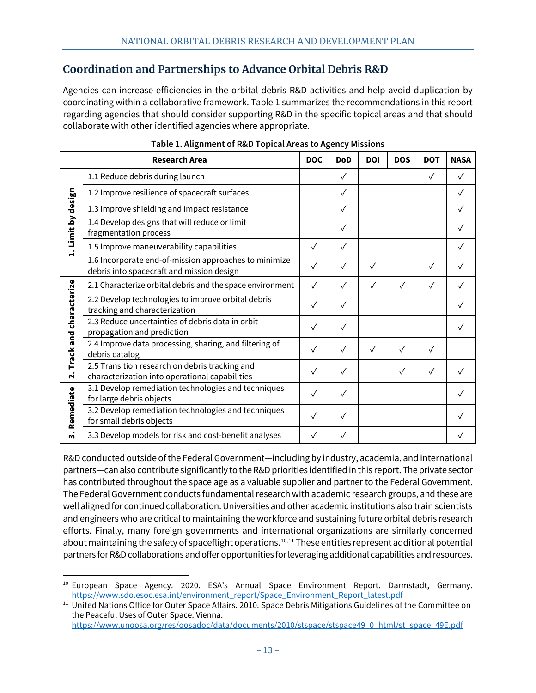# <span id="page-18-0"></span>**Coordination and Partnerships to Advance Orbital Debris R&D**

Agencies can increase efficiencies in the orbital debris R&D activities and help avoid duplication by coordinating within a collaborative framework. Table 1 summarizes the recommendations in this report regarding agencies that should consider supporting R&D in the specific topical areas and that should collaborate with other identified agencies where appropriate.

| <b>Research Area</b>                          |                                                                                                    | <b>DOC</b>   | <b>DoD</b>   | <b>DOI</b>   | <b>DOS</b>   | <b>DOT</b>   | <b>NASA</b> |
|-----------------------------------------------|----------------------------------------------------------------------------------------------------|--------------|--------------|--------------|--------------|--------------|-------------|
| Limit by design<br>$\dot{a}$                  | 1.1 Reduce debris during launch                                                                    |              | $\checkmark$ |              |              | $\sqrt{}$    | $\sqrt{}$   |
|                                               | 1.2 Improve resilience of spacecraft surfaces                                                      |              | $\checkmark$ |              |              |              |             |
|                                               | 1.3 Improve shielding and impact resistance                                                        |              | $\checkmark$ |              |              |              |             |
|                                               | 1.4 Develop designs that will reduce or limit<br>fragmentation process                             |              | $\checkmark$ |              |              |              |             |
|                                               | 1.5 Improve maneuverability capabilities                                                           | $\checkmark$ | $\checkmark$ |              |              |              | $\sqrt{}$   |
|                                               | 1.6 Incorporate end-of-mission approaches to minimize<br>debris into spacecraft and mission design | $\checkmark$ | $\sqrt{}$    | $\checkmark$ |              | $\checkmark$ |             |
| Track and characterize<br>$\ddot{\mathbf{r}}$ | 2.1 Characterize orbital debris and the space environment                                          | $\checkmark$ | $\checkmark$ | $\checkmark$ | $\checkmark$ | $\checkmark$ | $\sqrt{}$   |
|                                               | 2.2 Develop technologies to improve orbital debris<br>tracking and characterization                | ✓            |              |              |              |              |             |
|                                               | 2.3 Reduce uncertainties of debris data in orbit<br>propagation and prediction                     | $\checkmark$ | $\sqrt{}$    |              |              |              |             |
|                                               | 2.4 Improve data processing, sharing, and filtering of<br>debris catalog                           | $\checkmark$ | $\checkmark$ | ✓            | $\sqrt{}$    |              |             |
|                                               | 2.5 Transition research on debris tracking and<br>characterization into operational capabilities   | $\sqrt{}$    | $\sqrt{}$    |              | $\sqrt{}$    | $\sqrt{}$    |             |
| Remediate<br>ຕໍ                               | 3.1 Develop remediation technologies and techniques<br>for large debris objects                    | $\sqrt{}$    | $\checkmark$ |              |              |              |             |
|                                               | 3.2 Develop remediation technologies and techniques<br>for small debris objects                    | ✓            | ✓            |              |              |              |             |
|                                               | 3.3 Develop models for risk and cost-benefit analyses                                              | ✓            | ✓            |              |              |              |             |

| Table 1. Alignment of R&D Topical Areas to Agency Missions |  |
|------------------------------------------------------------|--|
|                                                            |  |

R&D conducted outside of the Federal Government—including by industry, academia, and international partners—can also contribute significantly to the R&D priorities identified in this report. The private sector has contributed throughout the space age as a valuable supplier and partner to the Federal Government. The Federal Government conducts fundamental research with academic research groups, and these are well aligned for continued collaboration. Universities and other academic institutions also train scientists and engineers who are critical to maintaining the workforce and sustaining future orbital debris research efforts. Finally, many foreign governments and international organizations are similarly concerned about maintaining the safety of spaceflight operations.<sup>[10](#page-18-1),[11](#page-18-2)</sup> These entities represent additional potential partners for R&D collaborations and offer opportunities for leveraging additional capabilities and resources.

<span id="page-18-1"></span><sup>&</sup>lt;sup>10</sup> European Space Agency. 2020. ESA's Annual Space Environment Report. Darmstadt, Germany. [https://www.sdo.esoc.esa.int/environment\\_report/Space\\_Environment\\_Report\\_latest.pdf](https://www.sdo.esoc.esa.int/environment_report/Space_Environment_Report_latest.pdf)

<span id="page-18-2"></span><sup>&</sup>lt;sup>11</sup> United Nations Office for Outer Space Affairs. 2010. Space Debris Mitigations Guidelines of the Committee on the Peaceful Uses of Outer Space. Vienna.